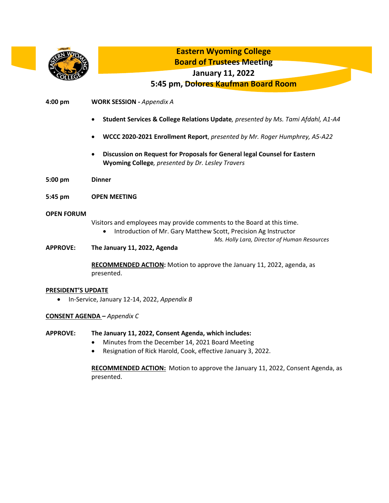

**CONSENT AGENDA** *– Appendix C*

## **APPROVE: The January 11, 2022, Consent Agenda, which includes:**

- Minutes from the December 14, 2021 Board Meeting
- Resignation of Rick Harold, Cook, effective January 3, 2022.

**RECOMMENDED ACTION:** Motion to approve the January 11, 2022, Consent Agenda, as presented.